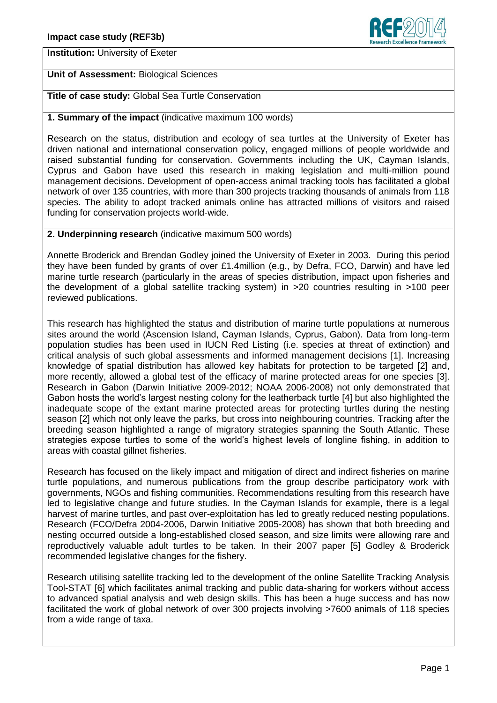

**Institution:** University of Exeter

# **Unit of Assessment:** Biological Sciences

**Title of case study:** Global Sea Turtle Conservation

## **1. Summary of the impact** (indicative maximum 100 words)

Research on the status, distribution and ecology of sea turtles at the University of Exeter has driven national and international conservation policy, engaged millions of people worldwide and raised substantial funding for conservation. Governments including the UK, Cayman Islands, Cyprus and Gabon have used this research in making legislation and multi-million pound management decisions. Development of open-access animal tracking tools has facilitated a global network of over 135 countries, with more than 300 projects tracking thousands of animals from 118 species. The ability to adopt tracked animals online has attracted millions of visitors and raised funding for conservation projects world-wide.

## **2. Underpinning research** (indicative maximum 500 words)

Annette Broderick and Brendan Godley joined the University of Exeter in 2003. During this period they have been funded by grants of over £1.4million (e.g., by Defra, FCO, Darwin) and have led marine turtle research (particularly in the areas of species distribution, impact upon fisheries and the development of a global satellite tracking system) in >20 countries resulting in >100 peer reviewed publications.

This research has highlighted the status and distribution of marine turtle populations at numerous sites around the world (Ascension Island, Cayman Islands, Cyprus, Gabon). Data from long-term population studies has been used in IUCN Red Listing (i.e. species at threat of extinction) and critical analysis of such global assessments and informed management decisions [1]. Increasing knowledge of spatial distribution has allowed key habitats for protection to be targeted [2] and, more recently, allowed a global test of the efficacy of marine protected areas for one species [3]. Research in Gabon (Darwin Initiative 2009-2012; NOAA 2006-2008) not only demonstrated that Gabon hosts the world's largest nesting colony for the leatherback turtle [4] but also highlighted the inadequate scope of the extant marine protected areas for protecting turtles during the nesting season [2] which not only leave the parks, but cross into neighbouring countries. Tracking after the breeding season highlighted a range of migratory strategies spanning the South Atlantic. These strategies expose turtles to some of the world's highest levels of longline fishing, in addition to areas with coastal gillnet fisheries.

Research has focused on the likely impact and mitigation of direct and indirect fisheries on marine turtle populations, and numerous publications from the group describe participatory work with governments, NGOs and fishing communities. Recommendations resulting from this research have led to legislative change and future studies. In the Cayman Islands for example, there is a legal harvest of marine turtles, and past over-exploitation has led to greatly reduced nesting populations. Research (FCO/Defra 2004-2006, Darwin Initiative 2005-2008) has shown that both breeding and nesting occurred outside a long-established closed season, and size limits were allowing rare and reproductively valuable adult turtles to be taken. In their 2007 paper [5] Godley & Broderick recommended legislative changes for the fishery.

Research utilising satellite tracking led to the development of the online Satellite Tracking Analysis Tool-STAT [6] which facilitates animal tracking and public data-sharing for workers without access to advanced spatial analysis and web design skills. This has been a huge success and has now facilitated the work of global network of over 300 projects involving >7600 animals of 118 species from a wide range of taxa.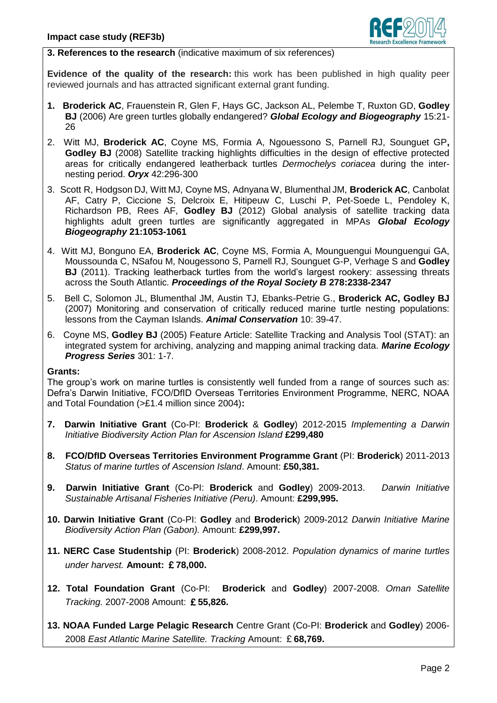

### **3. References to the research** (indicative maximum of six references)

**Evidence of the quality of the research:** this work has been published in high quality peer reviewed journals and has attracted significant external grant funding.

- **1. Broderick AC**, Frauenstein R, Glen F, Hays GC, Jackson AL, Pelembe T, Ruxton GD, **Godley BJ** (2006) Are green turtles globally endangered? *Global Ecology and Biogeography* 15:21- 26
- 2. Witt MJ, **Broderick AC**, Coyne MS, Formia A, Ngouessono S, Parnell RJ, Sounguet GP**, Godley BJ** (2008) Satellite tracking highlights difficulties in the design of effective protected areas for critically endangered leatherback turtles *Dermochelys coriacea* during the internesting period. *Oryx* 42:296-300
- 3. Scott R, Hodgson DJ, Witt MJ, Coyne MS, Adnyana W, Blumenthal JM, **Broderick AC**, Canbolat AF, Catry P, Ciccione S, Delcroix E, Hitipeuw C, Luschi P, Pet-Soede L, Pendoley K, Richardson PB, Rees AF, **Godley BJ** (2012) Global analysis of satellite tracking data highlights adult green turtles are significantly aggregated in MPAs *Global Ecology Biogeography* **21:1053-1061**
- 4. Witt MJ, Bonguno EA, **Broderick AC**, Coyne MS, Formia A, Mounguengui Mounguengui GA, Moussounda C, NSafou M, Nougessono S, Parnell RJ, Sounguet G-P, Verhage S and **Godley BJ** (2011). Tracking leatherback turtles from the world's largest rookery: assessing threats across the South Atlantic. *Proceedings of the Royal Society B* **278:2338-2347**
- 5. Bell C, Solomon JL, Blumenthal JM, Austin TJ, Ebanks-Petrie G., **Broderick AC, Godley BJ** (2007) Monitoring and conservation of critically reduced marine turtle nesting populations: lessons from the Cayman Islands. *Animal Conservation* 10: 39-47.
- 6. Coyne MS, **Godley BJ** (2005) Feature Article: Satellite Tracking and Analysis Tool (STAT): an integrated system for archiving, analyzing and mapping animal tracking data. *Marine Ecology Progress Series* 301: 1-7.

#### **Grants:**

The group's work on marine turtles is consistently well funded from a range of sources such as: Defra's Darwin Initiative, FCO/DfID Overseas Territories Environment Programme, NERC, NOAA and Total Foundation (>£1.4 million since 2004)**:**

- **7. Darwin Initiative Grant** (Co-PI: **Broderick** & **Godley**) 2012-2015 *Implementing a Darwin Initiative Biodiversity Action Plan for Ascension Island* **£299,480**
- **8. FCO/DfID Overseas Territories Environment Programme Grant** (PI: **Broderick**) 2011-2013 *Status of marine turtles of Ascension Island*. Amount: **£50,381.**
- **9. Darwin Initiative Grant** (Co-PI: **Broderick** and **Godley**) 2009-2013. *Darwin Initiative Sustainable Artisanal Fisheries Initiative (Peru)*. Amount: **£299,995.**
- **10. Darwin Initiative Grant** (Co-PI: **Godley** and **Broderick**) 2009-2012 *Darwin Initiative Marine Biodiversity Action Plan (Gabon).* Amount: **£299,997.**
- **11. NERC Case Studentship** (PI: **Broderick**) 2008-2012. *Population dynamics of marine turtles under harvest.* **Amount:** £**78,000.**
- **12. Total Foundation Grant** (Co-PI: **Broderick** and **Godley**) 2007-2008. *Oman Satellite Tracking.* 2007-2008 Amount: £**55,826.**
- **13. NOAA Funded Large Pelagic Research** Centre Grant (Co-PI: **Broderick** and **Godley**) 2006- 2008 *East Atlantic Marine Satellite. Tracking* Amount: £**68,769.**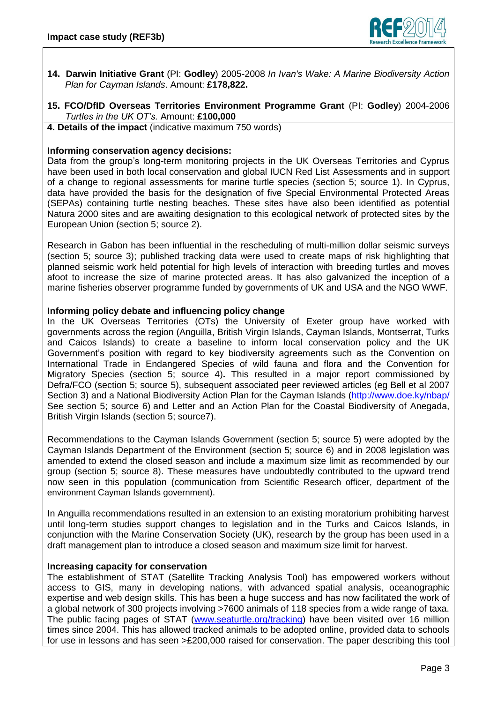

- **14. Darwin Initiative Grant** (PI: **Godley**) 2005-2008 *In Ivan's Wake: A Marine Biodiversity Action Plan for Cayman Islands*. Amount: **£178,822.**
- **15. FCO/DfID Overseas Territories Environment Programme Grant** (PI: **Godley**) 2004-2006 *Turtles in the UK OT's.* Amount: **£100,000**

**4. Details of the impact** (indicative maximum 750 words)

## **Informing conservation agency decisions:**

Data from the group's long-term monitoring projects in the UK Overseas Territories and Cyprus have been used in both local conservation and global IUCN Red List Assessments and in support of a change to regional assessments for marine turtle species (section 5; source 1). In Cyprus, data have provided the basis for the designation of five Special Environmental Protected Areas (SEPAs) containing turtle nesting beaches. These sites have also been identified as potential Natura 2000 sites and are awaiting designation to this ecological network of protected sites by the European Union (section 5; source 2).

Research in Gabon has been influential in the rescheduling of multi-million dollar seismic surveys (section 5; source 3); published tracking data were used to create maps of risk highlighting that planned seismic work held potential for high levels of interaction with breeding turtles and moves afoot to increase the size of marine protected areas. It has also galvanized the inception of a marine fisheries observer programme funded by governments of UK and USA and the NGO WWF.

## **Informing policy debate and influencing policy change**

In the UK Overseas Territories (OTs) the University of Exeter group have worked with governments across the region (Anguilla, British Virgin Islands, Cayman Islands, Montserrat, Turks and Caicos Islands) to create a baseline to inform local conservation policy and the UK Government's position with regard to key biodiversity agreements such as the Convention on International Trade in Endangered Species of wild fauna and flora and the Convention for Migratory Species (section 5; source 4)**.** This resulted in a major report commissioned by Defra/FCO (section 5; source 5), subsequent associated peer reviewed articles (eg Bell et al 2007 Section 3) and a National Biodiversity Action Plan for the Cayman Islands [\(http://www.doe.ky/nbap/](http://www.doe.ky/nbap/) See section 5; source 6) and Letter and an Action Plan for the Coastal Biodiversity of Anegada, British Virgin Islands (section 5; source7).

Recommendations to the Cayman Islands Government (section 5; source 5) were adopted by the Cayman Islands Department of the Environment (section 5; source 6) and in 2008 legislation was amended to extend the closed season and include a maximum size limit as recommended by our group (section 5; source 8). These measures have undoubtedly contributed to the upward trend now seen in this population (communication from Scientific Research officer, department of the environment Cayman Islands government).

In Anguilla recommendations resulted in an extension to an existing moratorium prohibiting harvest until long-term studies support changes to legislation and in the Turks and Caicos Islands, in conjunction with the Marine Conservation Society (UK), research by the group has been used in a draft management plan to introduce a closed season and maximum size limit for harvest.

## **Increasing capacity for conservation**

The establishment of STAT (Satellite Tracking Analysis Tool) has empowered workers without access to GIS, many in developing nations, with advanced spatial analysis, oceanographic expertise and web design skills. This has been a huge success and has now facilitated the work of a global network of 300 projects involving >7600 animals of 118 species from a wide range of taxa. The public facing pages of STAT [\(www.seaturtle.org/tracking\)](file:///C:/Users/bjg201/AppData/Local/Microsoft/Windows/Temporary%20Internet%20Files/Content.Outlook/DMIRJ1BJ/www.seaturtle.org/tracking) have been visited over 16 million times since 2004. This has allowed tracked animals to be adopted online, provided data to schools for use in lessons and has seen >£200,000 raised for conservation. The paper describing this tool